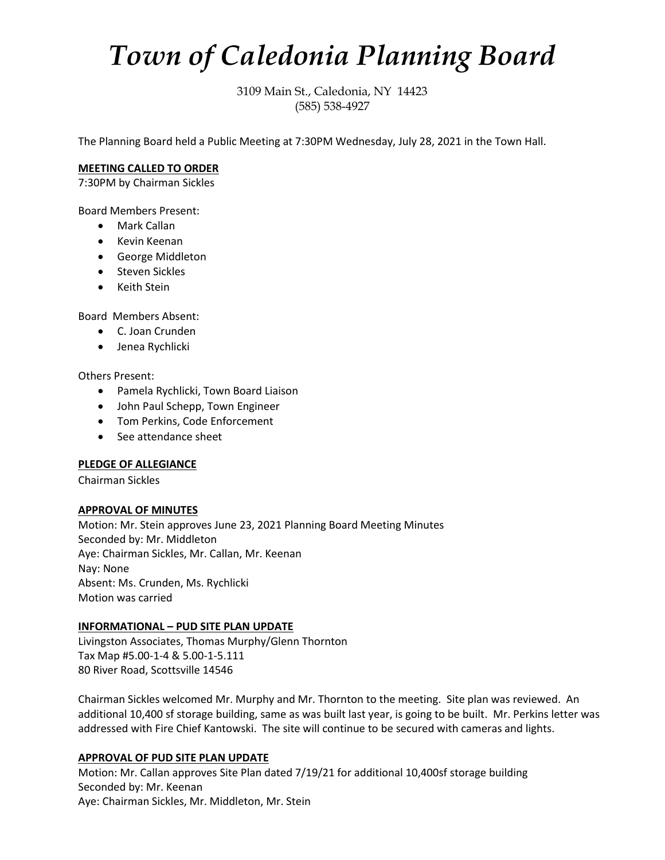# *Town of Caledonia Planning Board*

3109 Main St., Caledonia, NY 14423 (585) 538-4927

The Planning Board held a Public Meeting at 7:30PM Wednesday, July 28, 2021 in the Town Hall.

## **MEETING CALLED TO ORDER**

7:30PM by Chairman Sickles

Board Members Present:

- Mark Callan
- Kevin Keenan
- George Middleton
- Steven Sickles
- Keith Stein

Board Members Absent:

- C. Joan Crunden
- Jenea Rychlicki

Others Present:

- Pamela Rychlicki, Town Board Liaison
- John Paul Schepp, Town Engineer
- Tom Perkins, Code Enforcement
- See attendance sheet

## **PLEDGE OF ALLEGIANCE**

Chairman Sickles

## **APPROVAL OF MINUTES**

Motion: Mr. Stein approves June 23, 2021 Planning Board Meeting Minutes Seconded by: Mr. Middleton Aye: Chairman Sickles, Mr. Callan, Mr. Keenan Nay: None Absent: Ms. Crunden, Ms. Rychlicki Motion was carried

## **INFORMATIONAL – PUD SITE PLAN UPDATE**

Livingston Associates, Thomas Murphy/Glenn Thornton Tax Map #5.00-1-4 & 5.00-1-5.111 80 River Road, Scottsville 14546

Chairman Sickles welcomed Mr. Murphy and Mr. Thornton to the meeting. Site plan was reviewed. An additional 10,400 sf storage building, same as was built last year, is going to be built. Mr. Perkins letter was addressed with Fire Chief Kantowski. The site will continue to be secured with cameras and lights.

## **APPROVAL OF PUD SITE PLAN UPDATE**

Motion: Mr. Callan approves Site Plan dated 7/19/21 for additional 10,400sf storage building Seconded by: Mr. Keenan Aye: Chairman Sickles, Mr. Middleton, Mr. Stein